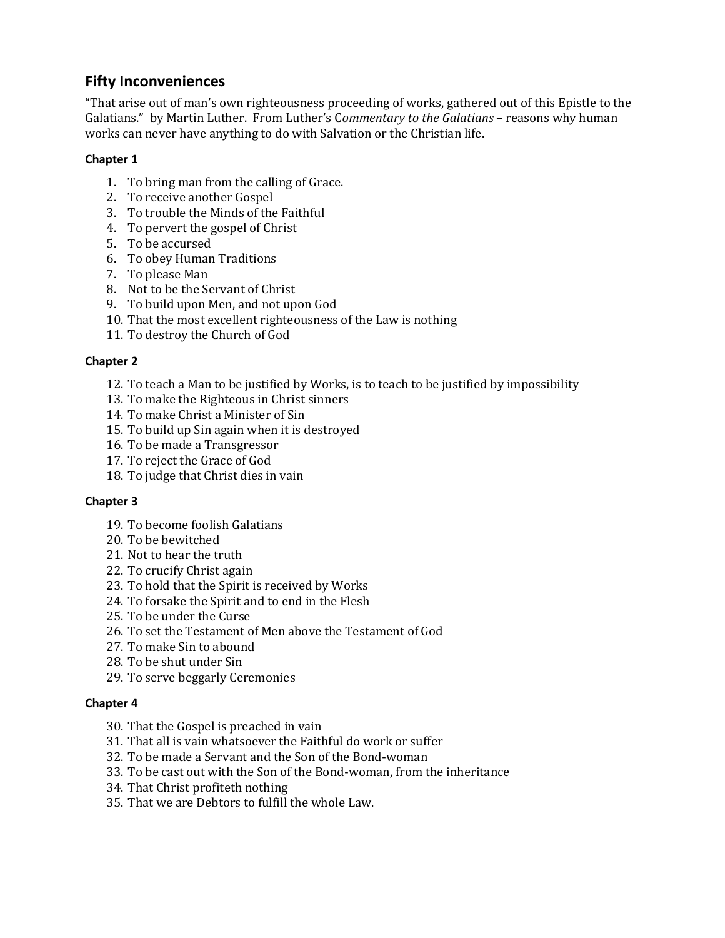# **Fifty Inconveniences**

"That arise out of man's own righteousness proceeding of works, gathered out of this Epistle to the Galatians." by Martin Luther. From Luther's C*ommentary to the Galatians* – reasons why human works can never have anything to do with Salvation or the Christian life.

## **Chapter 1**

- 1. To bring man from the calling of Grace.
- 2. To receive another Gospel
- 3. To trouble the Minds of the Faithful
- 4. To pervert the gospel of Christ
- 5. To be accursed
- 6. To obey Human Traditions
- 7. To please Man
- 8. Not to be the Servant of Christ
- 9. To build upon Men, and not upon God
- 10. That the most excellent righteousness of the Law is nothing
- 11. To destroy the Church of God

## **Chapter 2**

- 12. To teach a Man to be justified by Works, is to teach to be justified by impossibility
- 13. To make the Righteous in Christ sinners
- 14. To make Christ a Minister of Sin
- 15. To build up Sin again when it is destroyed
- 16. To be made a Transgressor
- 17. To reject the Grace of God
- 18. To judge that Christ dies in vain

## **Chapter 3**

- 19. To become foolish Galatians
- 20. To be bewitched
- 21. Not to hear the truth
- 22. To crucify Christ again
- 23. To hold that the Spirit is received by Works
- 24. To forsake the Spirit and to end in the Flesh
- 25. To be under the Curse
- 26. To set the Testament of Men above the Testament of God
- 27. To make Sin to abound
- 28. To be shut under Sin
- 29. To serve beggarly Ceremonies

#### **Chapter 4**

- 30. That the Gospel is preached in vain
- 31. That all is vain whatsoever the Faithful do work or suffer
- 32. To be made a Servant and the Son of the Bond-woman
- 33. To be cast out with the Son of the Bond-woman, from the inheritance
- 34. That Christ profiteth nothing
- 35. That we are Debtors to fulfill the whole Law.